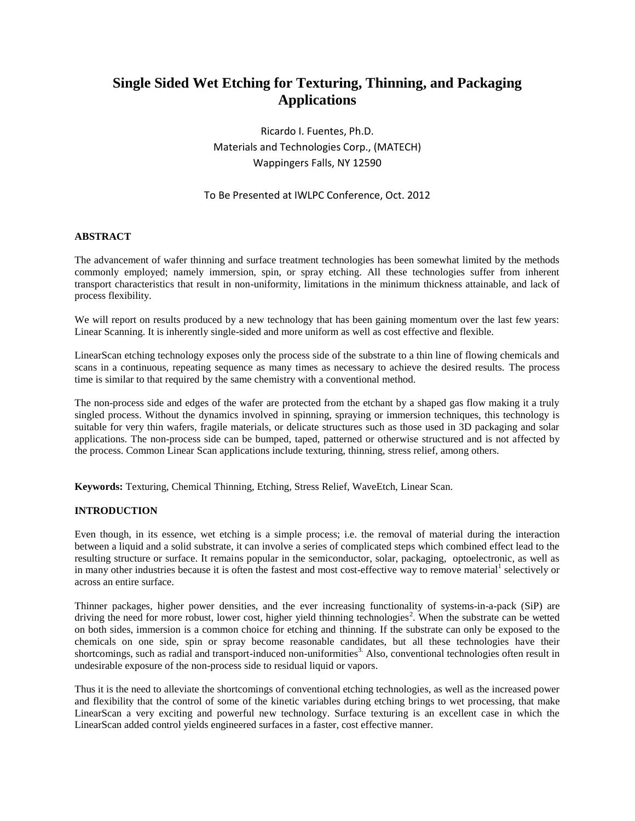# **Single Sided Wet Etching for Texturing, Thinning, and Packaging Applications**

Ricardo I. Fuentes, Ph.D. Materials and Technologies Corp., (MATECH) Wappingers Falls, NY 12590

# To Be Presented at IWLPC Conference, Oct. 2012

## **ABSTRACT**

The advancement of wafer thinning and surface treatment technologies has been somewhat limited by the methods commonly employed; namely immersion, spin, or spray etching. All these technologies suffer from inherent transport characteristics that result in non-uniformity, limitations in the minimum thickness attainable, and lack of process flexibility.

We will report on results produced by a new technology that has been gaining momentum over the last few years: Linear Scanning. It is inherently single-sided and more uniform as well as cost effective and flexible.

LinearScan etching technology exposes only the process side of the substrate to a thin line of flowing chemicals and scans in a continuous, repeating sequence as many times as necessary to achieve the desired results. The process time is similar to that required by the same chemistry with a conventional method.

The non-process side and edges of the wafer are protected from the etchant by a shaped gas flow making it a truly singled process. Without the dynamics involved in spinning, spraying or immersion techniques, this technology is suitable for very thin wafers, fragile materials, or delicate structures such as those used in 3D packaging and solar applications. The non-process side can be bumped, taped, patterned or otherwise structured and is not affected by the process. Common Linear Scan applications include texturing, thinning, stress relief, among others.

**Keywords:** Texturing, Chemical Thinning, Etching, Stress Relief, WaveEtch, Linear Scan.

## **INTRODUCTION**

Even though, in its essence, wet etching is a simple process; i.e. the removal of material during the interaction between a liquid and a solid substrate, it can involve a series of complicated steps which combined effect lead to the resulting structure or surface. It remains popular in the semiconductor, solar, packaging, optoelectronic, as well as in many other industries because it is often the fastest and most cost-effective way to remove material<sup>1</sup> selectively or across an entire surface.

Thinner packages, higher power densities, and the ever increasing functionality of systems-in-a-pack (SiP) are driving the need for more robust, lower cost, higher yield thinning technologies<sup>2</sup>. When the substrate can be wetted on both sides, immersion is a common choice for etching and thinning. If the substrate can only be exposed to the chemicals on one side, spin or spray become reasonable candidates, but all these technologies have their shortcomings, such as radial and transport-induced non-uniformities<sup>3</sup>. Also, conventional technologies often result in undesirable exposure of the non-process side to residual liquid or vapors.

Thus it is the need to alleviate the shortcomings of conventional etching technologies, as well as the increased power and flexibility that the control of some of the kinetic variables during etching brings to wet processing, that make LinearScan a very exciting and powerful new technology. Surface texturing is an excellent case in which the LinearScan added control yields engineered surfaces in a faster, cost effective manner.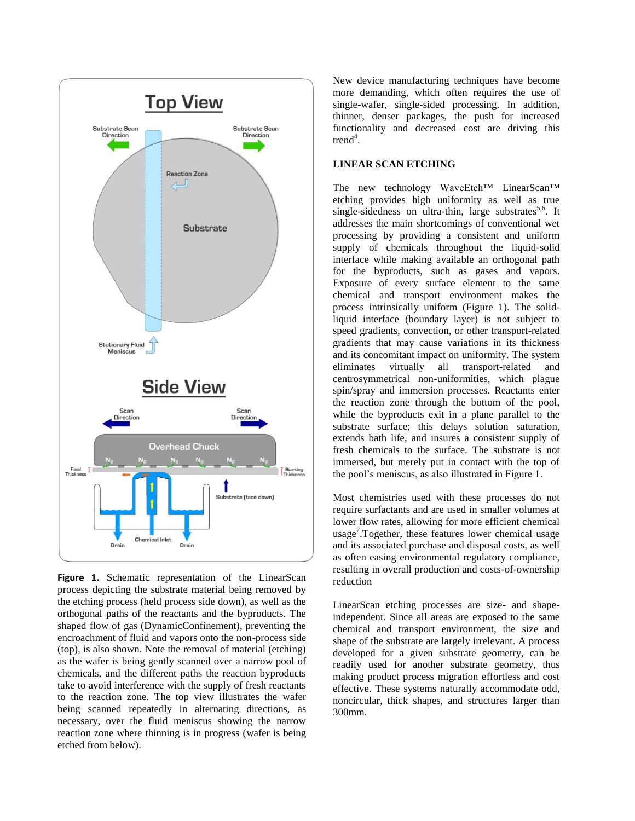

Figure 1. Schematic representation of the LinearScan process depicting the substrate material being removed by the etching process (held process side down), as well as the orthogonal paths of the reactants and the byproducts. The shaped flow of gas (DynamicConfinement), preventing the encroachment of fluid and vapors onto the non-process side (top), is also shown. Note the removal of material (etching) as the wafer is being gently scanned over a narrow pool of chemicals, and the different paths the reaction byproducts take to avoid interference with the supply of fresh reactants to the reaction zone. The top view illustrates the wafer being scanned repeatedly in alternating directions, as necessary, over the fluid meniscus showing the narrow reaction zone where thinning is in progress (wafer is being etched from below).

New device manufacturing techniques have become more demanding, which often requires the use of single-wafer, single-sided processing. In addition, thinner, denser packages, the push for increased functionality and decreased cost are driving this  $trend<sup>4</sup>$ .

## **LINEAR SCAN ETCHING**

The new technology WaveEtch™ LinearScan™ etching provides high uniformity as well as true single-sidedness on ultra-thin, large substrates<sup>5,6</sup>. It addresses the main shortcomings of conventional wet processing by providing a consistent and uniform supply of chemicals throughout the liquid-solid interface while making available an orthogonal path for the byproducts, such as gases and vapors. Exposure of every surface element to the same chemical and transport environment makes the process intrinsically uniform (Figure 1). The solidliquid interface (boundary layer) is not subject to speed gradients, convection, or other transport-related gradients that may cause variations in its thickness and its concomitant impact on uniformity. The system eliminates virtually all transport-related and centrosymmetrical non-uniformities, which plague spin/spray and immersion processes. Reactants enter the reaction zone through the bottom of the pool, while the byproducts exit in a plane parallel to the substrate surface; this delays solution saturation, extends bath life, and insures a consistent supply of fresh chemicals to the surface. The substrate is not immersed, but merely put in contact with the top of the pool's meniscus, as also illustrated in Figure 1.

Most chemistries used with these processes do not require surfactants and are used in smaller volumes at lower flow rates, allowing for more efficient chemical usage<sup>7</sup>.Together, these features lower chemical usage and its associated purchase and disposal costs, as well as often easing environmental regulatory compliance, resulting in overall production and costs-of-ownership reduction

LinearScan etching processes are size- and shapeindependent. Since all areas are exposed to the same chemical and transport environment, the size and shape of the substrate are largely irrelevant. A process developed for a given substrate geometry, can be readily used for another substrate geometry, thus making product process migration effortless and cost effective. These systems naturally accommodate odd, noncircular, thick shapes, and structures larger than 300mm.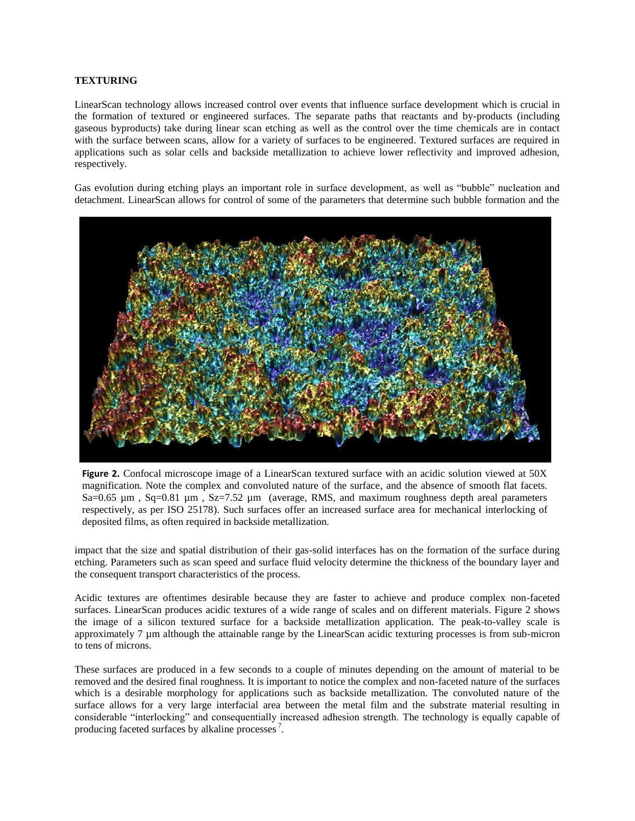## **TEXTURING**

LinearScan technology allows increased control over events that influence surface development which is crucial in the formation of textured or engineered surfaces. The separate paths that reactants and by-products (including gaseous byproducts) take during linear scan etching as well as the control over the time chemicals are in contact with the surface between scans, allow for a variety of surfaces to be engineered. Textured surfaces are required in applications such as solar cells and backside metallization to achieve lower reflectivity and improved adhesion, respectively.

Gas evolution during etching plays an important role in surface development, as well as "bubble" nucleation and detachment. LinearScan allows for control of some of the parameters that determine such bubble formation and the



**Figure 2.** Confocal microscope image of a LinearScan textured surface with an acidic solution viewed at 50X magnification. Note the complex and convoluted nature of the surface, and the absence of smooth flat facets. Sa=0.65 µm, Sq=0.81 µm, Sz=7.52 µm (average, RMS, and maximum roughness depth areal parameters respectively, as per ISO 25178). Such surfaces offer an increased surface area for mechanical interlocking of deposited films, as often required in backside metallization.

impact that the size and spatial distribution of their gas-solid interfaces has on the formation of the surface during etching. Parameters such as scan speed and surface fluid velocity determine the thickness of the boundary layer and the consequent transport characteristics of the process.

Acidic textures are oftentimes desirable because they are faster to achieve and produce complex non-faceted surfaces. LinearScan produces acidic textures of a wide range of scales and on different materials. Figure 2 shows the image of a silicon textured surface for a backside metallization application. The peak-to-valley scale is approximately 7 µm although the attainable range by the LinearScan acidic texturing processes is from sub-micron to tens of microns.

These surfaces are produced in a few seconds to a couple of minutes depending on the amount of material to be removed and the desired final roughness. It is important to notice the complex and non-faceted nature of the surfaces which is a desirable morphology for applications such as backside metallization. The convoluted nature of the surface allows for a very large interfacial area between the metal film and the substrate material resulting in considerable "interlocking" and consequentially increased adhesion strength. The technology is equally capable of producing faceted surfaces by alkaline processes<sup>7</sup>.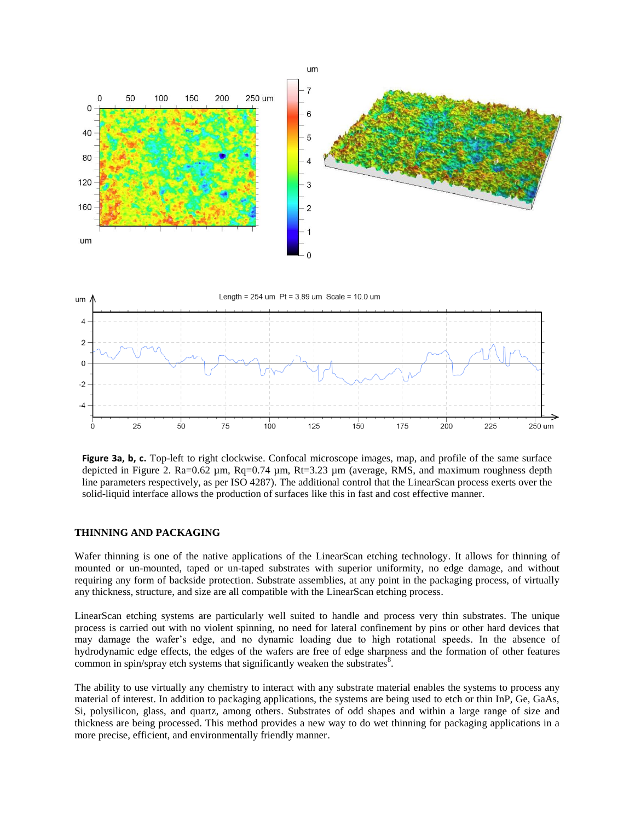

**Figure 3a, b, c.** Top-left to right clockwise. Confocal microscope images, map, and profile of the same surface depicted in Figure 2. Ra=0.62 µm, Rq=0.74 µm, Rt=3.23 µm (average, RMS, and maximum roughness depth line parameters respectively, as per ISO 4287). The additional control that the LinearScan process exerts over the solid-liquid interface allows the production of surfaces like this in fast and cost effective manner.

#### **THINNING AND PACKAGING**

Wafer thinning is one of the native applications of the LinearScan etching technology. It allows for thinning of mounted or un-mounted, taped or un-taped substrates with superior uniformity, no edge damage, and without requiring any form of backside protection. Substrate assemblies, at any point in the packaging process, of virtually any thickness, structure, and size are all compatible with the LinearScan etching process.

LinearScan etching systems are particularly well suited to handle and process very thin substrates. The unique process is carried out with no violent spinning, no need for lateral confinement by pins or other hard devices that may damage the wafer's edge, and no dynamic loading due to high rotational speeds. In the absence of hydrodynamic edge effects, the edges of the wafers are free of edge sharpness and the formation of other features common in spin/spray etch systems that significantly weaken the substrates $8$ .

The ability to use virtually any chemistry to interact with any substrate material enables the systems to process any material of interest. In addition to packaging applications, the systems are being used to etch or thin InP, Ge, GaAs, Si, polysilicon, glass, and quartz, among others. Substrates of odd shapes and within a large range of size and thickness are being processed. This method provides a new way to do wet thinning for packaging applications in a more precise, efficient, and environmentally friendly manner.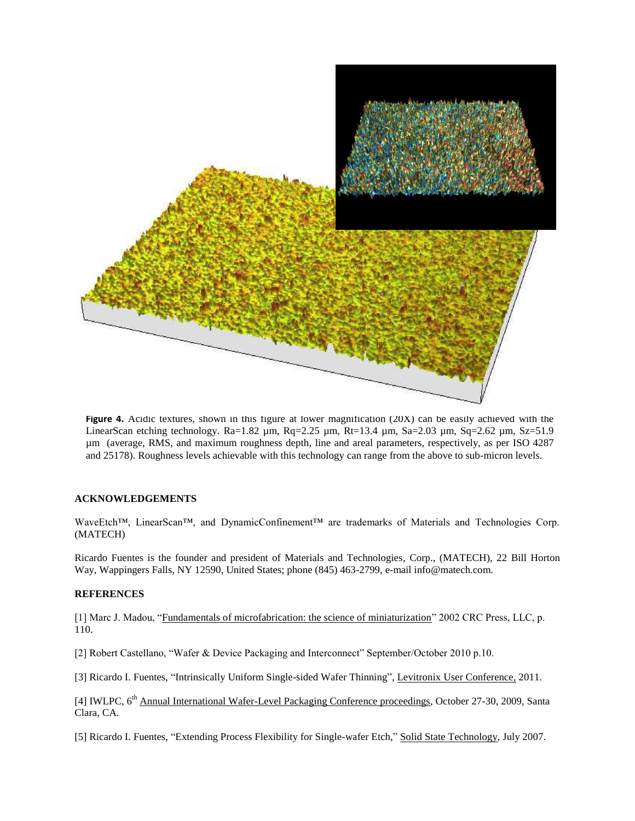

**Figure 4.** Acidic textures, shown in this figure at lower magnification (20X) can be easily achieved with the LinearScan etching technology. Ra=1.82 µm, Rq=2.25 µm, Rt=13.4 µm, Sa=2.03 µm, Sq=2.62 µm, Sz=51.9 µm (average, RMS, and maximum roughness depth, line and areal parameters, respectively, as per ISO 4287 and 25178). Roughness levels achievable with this technology can range from the above to sub-micron levels.

#### **ACKNOWLEDGEMENTS**

WaveEtch™, LinearScan™, and DynamicConfinement™ are trademarks of Materials and Technologies Corp. (MATECH)

Ricardo Fuentes is the founder and president of Materials and Technologies, Corp., (MATECH), 22 Bill Horton Way, Wappingers Falls, NY 12590, United States; phone (845) 463-2799, e-mail info@matech.com.

### **REFERENCES**

[1] Marc J. Madou, "Fundamentals of microfabrication: the science of miniaturization" 2002 CRC Press, LLC, p. 110.

[2] Robert Castellano, "Wafer & Device Packaging and Interconnect" September/October 2010 p.10.

[3] Ricardo I. Fuentes, "Intrinsically Uniform Single-sided Wafer Thinning", Levitronix User Conference, 2011.

[4] IWLPC, 6<sup>th</sup> Annual International Wafer-Level Packaging Conference proceedings, October 27-30, 2009, Santa Clara, CA.

[5] Ricardo I. Fuentes, "Extending Process Flexibility for Single-wafer Etch," Solid State Technology, July 2007.